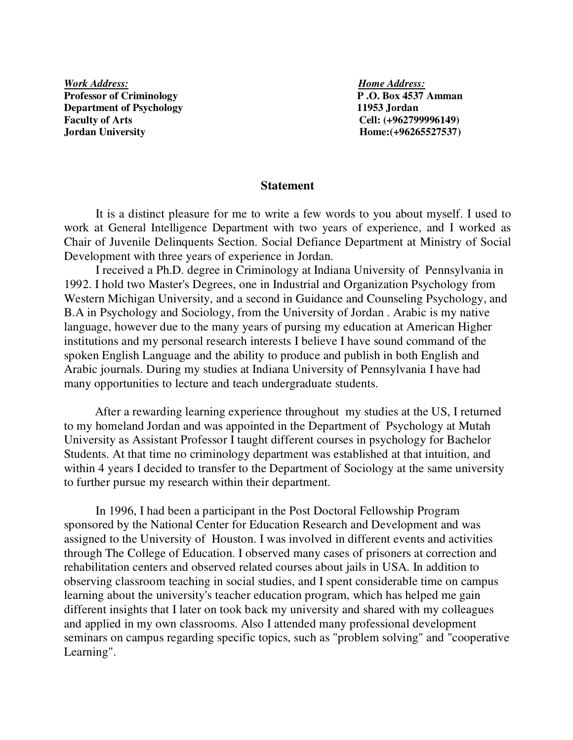*Work Address:* Home Address: **Professor of Criminology P .O. Box 4537 Amman Department of Psychology 11953 Jordan Faculty of Arts Cell: (+962799996149) Jordan University Home:**(+96265527537)

#### **Statement**

It is a distinct pleasure for me to write a few words to you about myself. I used to work at General Intelligence Department with two years of experience, and I worked as Chair of Juvenile Delinquents Section. Social Defiance Department at Ministry of Social Development with three years of experience in Jordan.

I received a Ph.D. degree in Criminology at Indiana University of Pennsylvania in 1992. I hold two Master's Degrees, one in Industrial and Organization Psychology from Western Michigan University, and a second in Guidance and Counseling Psychology, and B.A in Psychology and Sociology, from the University of Jordan . Arabic is my native language, however due to the many years of pursing my education at American Higher institutions and my personal research interests I believe I have sound command of the spoken English Language and the ability to produce and publish in both English and Arabic journals. During my studies at Indiana University of Pennsylvania I have had many opportunities to lecture and teach undergraduate students.

 After a rewarding learning experience throughout my studies at the US, I returned to my homeland Jordan and was appointed in the Department of Psychology at Mutah University as Assistant Professor I taught different courses in psychology for Bachelor Students. At that time no criminology department was established at that intuition, and within 4 years I decided to transfer to the Department of Sociology at the same university to further pursue my research within their department.

In 1996, I had been a participant in the Post Doctoral Fellowship Program sponsored by the National Center for Education Research and Development and was assigned to the University of Houston. I was involved in different events and activities through The College of Education. I observed many cases of prisoners at correction and rehabilitation centers and observed related courses about jails in USA. In addition to observing classroom teaching in social studies, and I spent considerable time on campus learning about the university's teacher education program, which has helped me gain different insights that I later on took back my university and shared with my colleagues and applied in my own classrooms. Also I attended many professional development seminars on campus regarding specific topics, such as "problem solving" and "cooperative Learning".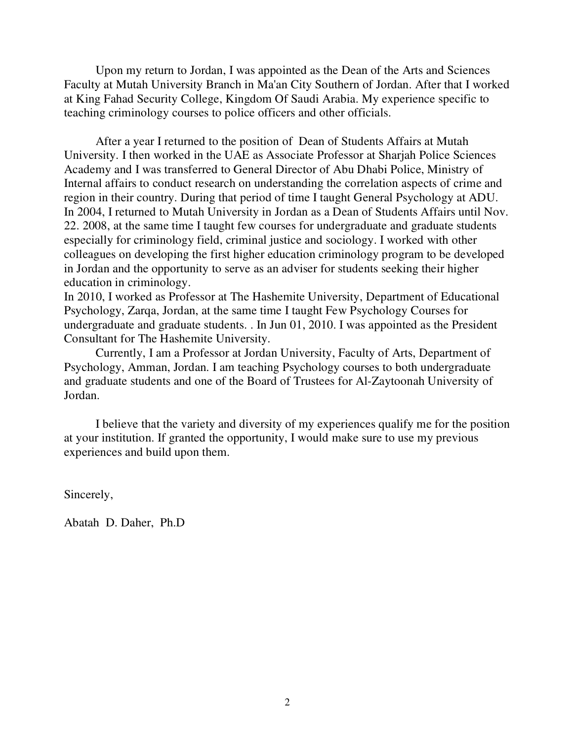Upon my return to Jordan, I was appointed as the Dean of the Arts and Sciences Faculty at Mutah University Branch in Ma'an City Southern of Jordan. After that I worked at King Fahad Security College, Kingdom Of Saudi Arabia. My experience specific to teaching criminology courses to police officers and other officials.

 After a year I returned to the position of Dean of Students Affairs at Mutah University. I then worked in the UAE as Associate Professor at Sharjah Police Sciences Academy and I was transferred to General Director of Abu Dhabi Police, Ministry of Internal affairs to conduct research on understanding the correlation aspects of crime and region in their country. During that period of time I taught General Psychology at ADU. In 2004, I returned to Mutah University in Jordan as a Dean of Students Affairs until Nov. 22. 2008, at the same time I taught few courses for undergraduate and graduate students especially for criminology field, criminal justice and sociology. I worked with other colleagues on developing the first higher education criminology program to be developed in Jordan and the opportunity to serve as an adviser for students seeking their higher education in criminology.

In 2010, I worked as Professor at The Hashemite University, Department of Educational Psychology, Zarqa, Jordan, at the same time I taught Few Psychology Courses for undergraduate and graduate students. . In Jun 01, 2010. I was appointed as the President Consultant for The Hashemite University.

Currently, I am a Professor at Jordan University, Faculty of Arts, Department of Psychology, Amman, Jordan. I am teaching Psychology courses to both undergraduate and graduate students and one of the Board of Trustees for Al-Zaytoonah University of Jordan.

I believe that the variety and diversity of my experiences qualify me for the position at your institution. If granted the opportunity, I would make sure to use my previous experiences and build upon them.

Sincerely,

Abatah D. Daher, Ph.D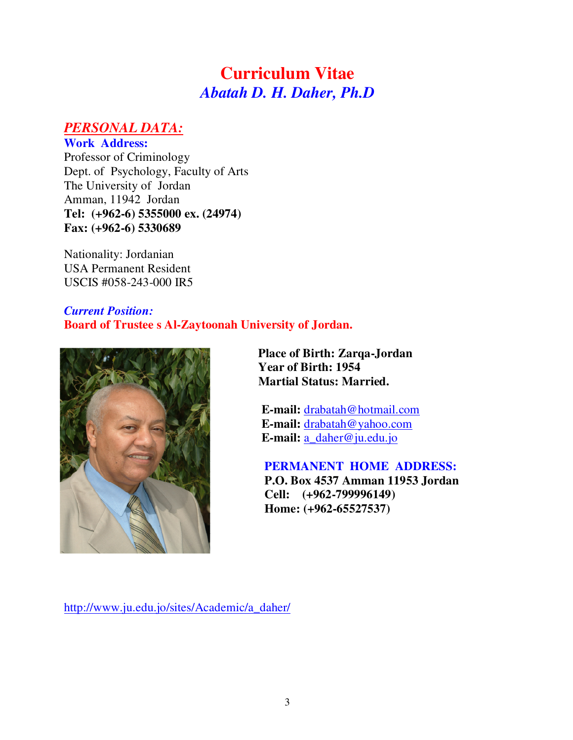# **Curriculum Vitae**  *Abatah D. H. Daher, Ph.D*

## *PERSONAL DATA:*

**Work Address:** Professor of Criminology Dept. of Psychology, Faculty of Arts The University of Jordan Amman, 11942 Jordan **Tel: (+962-6) 5355000 ex. (24974) Fax: (+962-6) 5330689** 

Nationality: Jordanian USA Permanent Resident USCIS #058-243-000 IR5

### *Current Position:* **Board of Trustee s Al-Zaytoonah University of Jordan.**



 **Place of Birth: Zarqa-Jordan Year of Birth: 1954 Martial Status: Married.**

 **E-mail:** drabatah@hotmail.com  **E-mail:** drabatah@yahoo.com **E-mail:** a\_daher@ju.edu.jo

#### **PERMANENT HOME ADDRESS:**

 **P.O. Box 4537 Amman 11953 Jordan Cell: (+962-799996149) Home: (+962-65527537)**

http://www.ju.edu.jo/sites/Academic/a\_daher/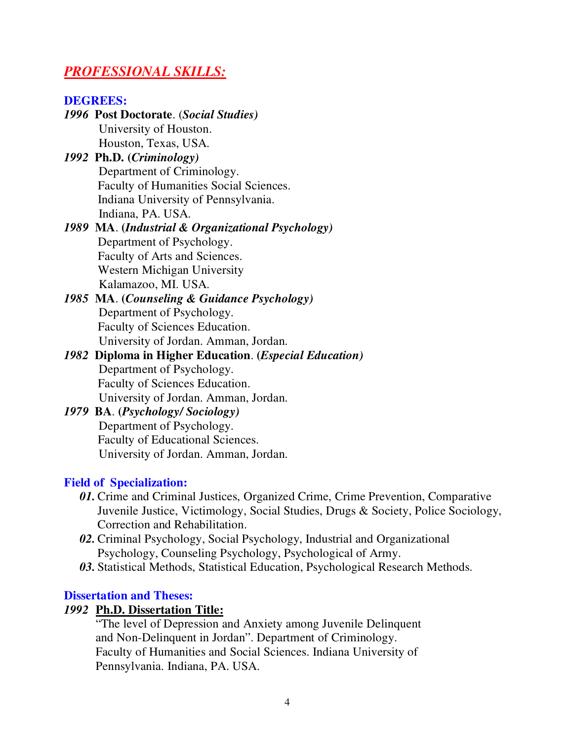## *PROFESSIONAL SKILLS:*

| <b>DEGREES:</b>                                                 |
|-----------------------------------------------------------------|
| 1996 Post Doctorate. (Social Studies)                           |
| University of Houston.                                          |
| Houston, Texas, USA.                                            |
| 1992 Ph.D. (Criminology)                                        |
| Department of Criminology.                                      |
| Faculty of Humanities Social Sciences.                          |
| Indiana University of Pennsylvania.                             |
| Indiana, PA. USA.                                               |
| 1989 MA. (Industrial & Organizational Psychology)               |
| Department of Psychology.                                       |
| Faculty of Arts and Sciences.                                   |
| <b>Western Michigan University</b>                              |
| Kalamazoo, MI. USA.                                             |
| 1985 MA. (Counseling & Guidance Psychology)                     |
| Department of Psychology.                                       |
| Faculty of Sciences Education.                                  |
| University of Jordan. Amman, Jordan.                            |
| 1982 Diploma in Higher Education. ( <i>Especial Education</i> ) |
| Department of Psychology.                                       |
| Faculty of Sciences Education.                                  |
| University of Jordan. Amman, Jordan.                            |
| 1979 BA. (Psychology/Sociology)                                 |
| Department of Psychology.                                       |
| Faculty of Educational Sciences.                                |
| University of Jordan. Amman, Jordan.                            |

#### **Field of Specialization:**

- *01.* Crime and Criminal Justices, Organized Crime, Crime Prevention, Comparative Juvenile Justice, Victimology, Social Studies, Drugs & Society, Police Sociology, Correction and Rehabilitation.
- *02.* Criminal Psychology, Social Psychology, Industrial and Organizational Psychology, Counseling Psychology, Psychological of Army.
- *03.* Statistical Methods, Statistical Education, Psychological Research Methods.

#### **Dissertation and Theses:**

#### *1992* **Ph.D. Dissertation Title:**

 "The level of Depression and Anxiety among Juvenile Delinquent and Non-Delinquent in Jordan". Department of Criminology. Faculty of Humanities and Social Sciences. Indiana University of Pennsylvania. Indiana, PA. USA.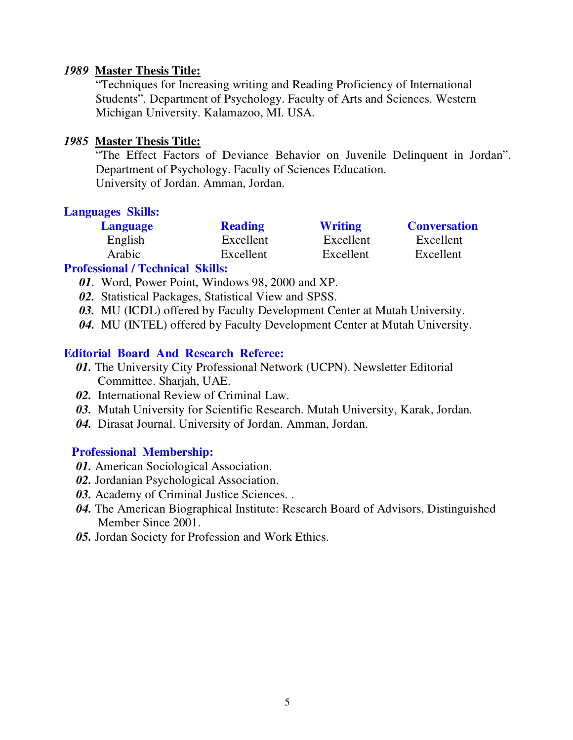#### *1989* **Master Thesis Title:**

"Techniques for Increasing writing and Reading Proficiency of International Students". Department of Psychology. Faculty of Arts and Sciences. Western Michigan University. Kalamazoo, MI. USA.

#### *1985* **Master Thesis Title:**

"The Effect Factors of Deviance Behavior on Juvenile Delinquent in Jordan". Department of Psychology. Faculty of Sciences Education. University of Jordan. Amman, Jordan.

#### **Languages Skills:**

| <b>Language</b> | <b>Reading</b> | <b>Writing</b> | <b>Conversation</b> |
|-----------------|----------------|----------------|---------------------|
| English         | Excellent      | Excellent      | Excellent           |
| Arabic          | Excellent      | Excellent      | Excellent           |

### **Professional / Technical Skills:**

- *01.* Word, Power Point, Windows 98, 2000 and XP.
- *02.* Statistical Packages, Statistical View and SPSS.
- *03.* MU (ICDL) offered by Faculty Development Center at Mutah University.
- *04.* MU (INTEL) offered by Faculty Development Center at Mutah University.

#### **Editorial Board And Research Referee:**

- *01***.** The University City Professional Network (UCPN). Newsletter Editorial Committee. Sharjah, UAE.
- *02.* International Review of Criminal Law.
- *03.* Mutah University for Scientific Research. Mutah University, Karak, Jordan.
- *04.* Dirasat Journal. University of Jordan. Amman, Jordan.

#### **Professional Membership:**

- *01.* American Sociological Association.
- *02.* Jordanian Psychological Association.
- *03.* Academy of Criminal Justice Sciences. .
- *04.* The American Biographical Institute: Research Board of Advisors, Distinguished Member Since 2001.
- *05.* Jordan Society for Profession and Work Ethics.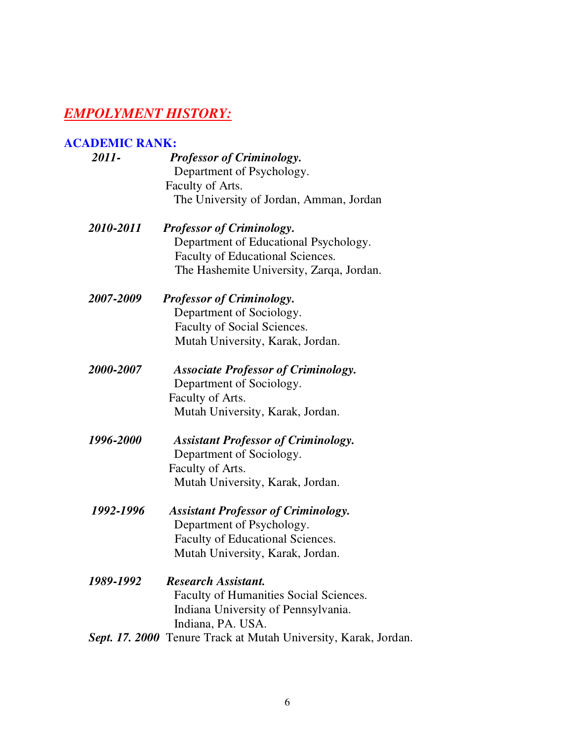## *EMPOLYMENT HISTORY:*

### **ACADEMIC RANK:**

| 2011-     | <b>Professor of Criminology.</b>                                |
|-----------|-----------------------------------------------------------------|
|           | Department of Psychology.                                       |
|           | Faculty of Arts.                                                |
|           | The University of Jordan, Amman, Jordan                         |
| 2010-2011 | <b>Professor of Criminology.</b>                                |
|           | Department of Educational Psychology.                           |
|           | Faculty of Educational Sciences.                                |
|           | The Hashemite University, Zarqa, Jordan.                        |
| 2007-2009 | <b>Professor of Criminology.</b>                                |
|           | Department of Sociology.                                        |
|           | Faculty of Social Sciences.                                     |
|           | Mutah University, Karak, Jordan.                                |
| 2000-2007 | <b>Associate Professor of Criminology.</b>                      |
|           | Department of Sociology.                                        |
|           | Faculty of Arts.                                                |
|           | Mutah University, Karak, Jordan.                                |
| 1996-2000 | <b>Assistant Professor of Criminology.</b>                      |
|           | Department of Sociology.                                        |
|           | Faculty of Arts.                                                |
|           | Mutah University, Karak, Jordan.                                |
| 1992-1996 | <b>Assistant Professor of Criminology.</b>                      |
|           | Department of Psychology.                                       |
|           | Faculty of Educational Sciences.                                |
|           | Mutah University, Karak, Jordan.                                |
| 1989-1992 | <b>Research Assistant.</b>                                      |
|           | Faculty of Humanities Social Sciences.                          |
|           | Indiana University of Pennsylvania.                             |
|           | Indiana, PA. USA.                                               |
|           | Sept. 17. 2000 Tenure Track at Mutah University, Karak, Jordan. |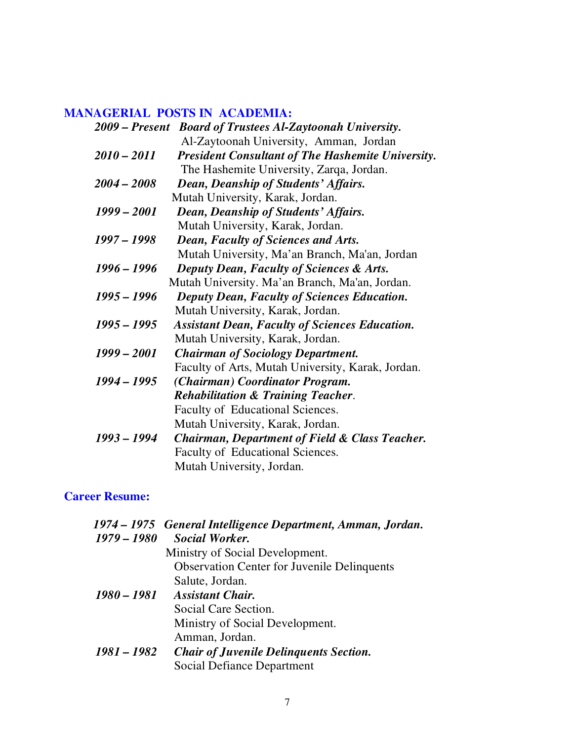### **MANAGERIAL POSTS IN ACADEMIA:**

|               | 2009 – Present Board of Trustees Al-Zaytoonah University. |
|---------------|-----------------------------------------------------------|
|               | Al-Zaytoonah University, Amman, Jordan                    |
| $2010 - 2011$ | <b>President Consultant of The Hashemite University.</b>  |
|               | The Hashemite University, Zarqa, Jordan.                  |
| $2004 - 2008$ | Dean, Deanship of Students' Affairs.                      |
|               | Mutah University, Karak, Jordan.                          |
| $1999 - 2001$ | Dean, Deanship of Students' Affairs.                      |
|               | Mutah University, Karak, Jordan.                          |
| 1997 – 1998   | <b>Dean, Faculty of Sciences and Arts.</b>                |
|               | Mutah University, Ma'an Branch, Ma'an, Jordan             |
| 1996 – 1996   | <b>Deputy Dean, Faculty of Sciences &amp; Arts.</b>       |
|               | Mutah University. Ma'an Branch, Ma'an, Jordan.            |
| 1995 – 1996   | <b>Deputy Dean, Faculty of Sciences Education.</b>        |
|               | Mutah University, Karak, Jordan.                          |
| $1995 - 1995$ | <b>Assistant Dean, Faculty of Sciences Education.</b>     |
|               | Mutah University, Karak, Jordan.                          |
| $1999 - 2001$ | <b>Chairman of Sociology Department.</b>                  |
|               | Faculty of Arts, Mutah University, Karak, Jordan.         |
| $1994 - 1995$ | (Chairman) Coordinator Program.                           |
|               | <b>Rehabilitation &amp; Training Teacher.</b>             |
|               | Faculty of Educational Sciences.                          |
|               | Mutah University, Karak, Jordan.                          |
| 1993 - 1994   | <b>Chairman, Department of Field &amp; Class Teacher.</b> |
|               | Faculty of Educational Sciences.                          |
|               | Mutah University, Jordan.                                 |

## **Career Resume:**

|               | 1974 – 1975 General Intelligence Department, Amman, Jordan. |
|---------------|-------------------------------------------------------------|
| $1979 - 1980$ | <b>Social Worker.</b>                                       |
|               | Ministry of Social Development.                             |
|               | <b>Observation Center for Juvenile Delinquents</b>          |
|               | Salute, Jordan.                                             |
|               | 1980 – 1981 Assistant Chair.                                |
|               | Social Care Section.                                        |
|               | Ministry of Social Development.                             |
|               | Amman, Jordan.                                              |
| 1981 – 1982   | <b>Chair of Juvenile Delinguents Section.</b>               |
|               | Social Defiance Department                                  |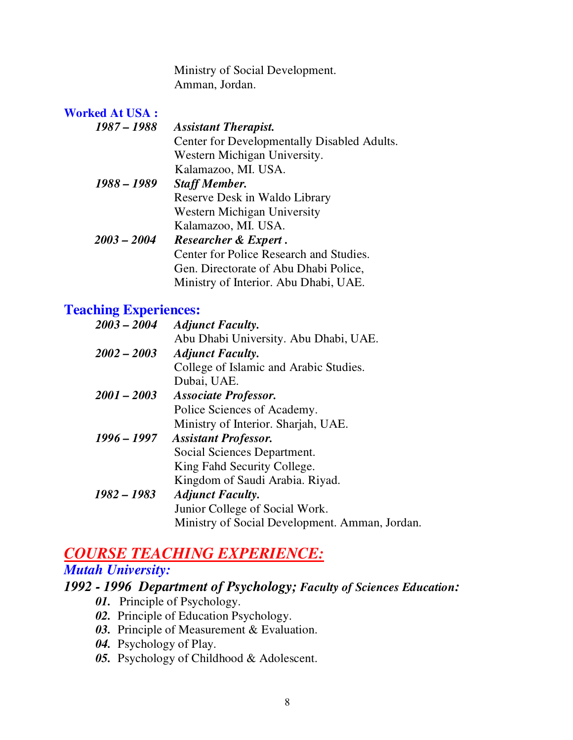Ministry of Social Development. Amman, Jordan.

| <b>Worked At USA:</b> |                                             |
|-----------------------|---------------------------------------------|
| 1987 – 1988           | <b>Assistant Therapist.</b>                 |
|                       | Center for Developmentally Disabled Adults. |
|                       | Western Michigan University.                |
|                       | Kalamazoo, MI. USA.                         |
| 1988 – 1989           | <b>Staff Member.</b>                        |
|                       | Reserve Desk in Waldo Library               |
|                       | Western Michigan University                 |
|                       | Kalamazoo, MI. USA.                         |
| $2003 - 2004$         | <b>Researcher &amp; Expert.</b>             |
|                       | Center for Police Research and Studies.     |
|                       | Gen. Directorate of Abu Dhabi Police,       |
|                       | Ministry of Interior. Abu Dhabi, UAE.       |

## **Teaching Experiences:**

| $2003 - 2004$ | <b>Adjunct Faculty.</b>                        |
|---------------|------------------------------------------------|
|               | Abu Dhabi University. Abu Dhabi, UAE.          |
| $2002 - 2003$ | <b>Adjunct Faculty.</b>                        |
|               | College of Islamic and Arabic Studies.         |
|               | Dubai, UAE.                                    |
| $2001 - 2003$ | <b>Associate Professor.</b>                    |
|               | Police Sciences of Academy.                    |
|               | Ministry of Interior. Sharjah, UAE.            |
| $1996 - 1997$ | <b>Assistant Professor.</b>                    |
|               | Social Sciences Department.                    |
|               | King Fahd Security College.                    |
|               | Kingdom of Saudi Arabia. Riyad.                |
| $1982 - 1983$ | <b>Adjunct Faculty.</b>                        |
|               | Junior College of Social Work.                 |
|               | Ministry of Social Development. Amman, Jordan. |
|               |                                                |

## *COURSE TEACHING EXPERIENCE:*

## *Mutah University:*

## *1992 - 1996**Department of Psychology; Faculty of Sciences Education:*

- *01.* Principle of Psychology.
- *02.* Principle of Education Psychology.
- *03.* Principle of Measurement & Evaluation.
- *04.* Psychology of Play.
- *05.* Psychology of Childhood & Adolescent.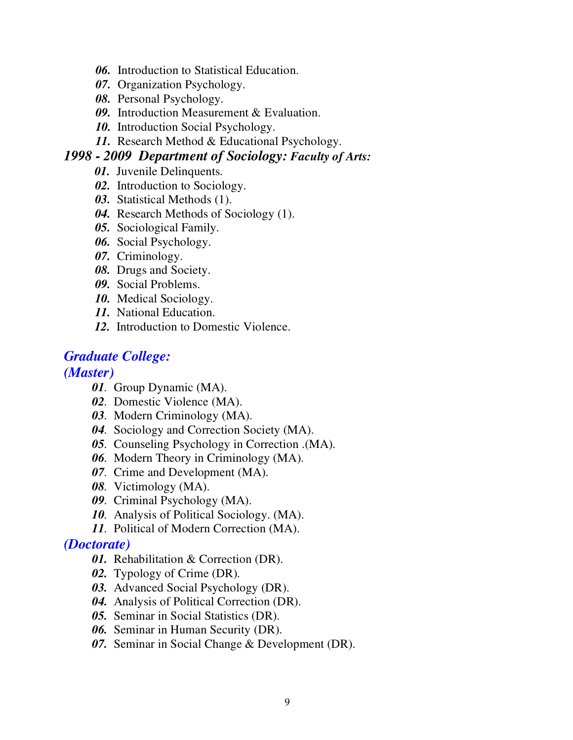- *06.* Introduction to Statistical Education.
- *07.* Organization Psychology.
- *08.* Personal Psychology.
- *09.* Introduction Measurement & Evaluation.
- *10.* Introduction Social Psychology.
- *11.* Research Method & Educational Psychology.

### *1998 - 2009**Department of Sociology: Faculty of Arts:*

- *01.* Juvenile Delinquents.
- *02.* Introduction to Sociology.
- *03.*Statistical Methods (1).
- *04.* Research Methods of Sociology (1).
- *05.*Sociological Family.
- *06.* Social Psychology.
- *07.* Criminology.
- *08.* Drugs and Society.
- *09.* Social Problems.
- *10.* Medical Sociology.
- *11.* National Education.
- *12.* Introduction to Domestic Violence.

## *Graduate College:*

*(Master)* 

- *01.* Group Dynamic (MA).
- *02.* Domestic Violence (MA).
- *03.* Modern Criminology (MA).
- *04.* Sociology and Correction Society (MA).
- *05*. Counseling Psychology in Correction .(MA).
- *06.* Modern Theory in Criminology (MA).
- *07.* Crime and Development (MA).
- *08.* Victimology (MA).
- *09.* Criminal Psychology (MA).
- *10.* Analysis of Political Sociology. (MA).
- *11.* Political of Modern Correction (MA).

### *(Doctorate)*

- *01.* Rehabilitation & Correction (DR).
- *02.* Typology of Crime (DR).
- *03.* Advanced Social Psychology (DR).
- *04.* Analysis of Political Correction (DR).
- *05.* Seminar in Social Statistics (DR).
- *06.* Seminar in Human Security (DR).
- *07.* Seminar in Social Change & Development (DR).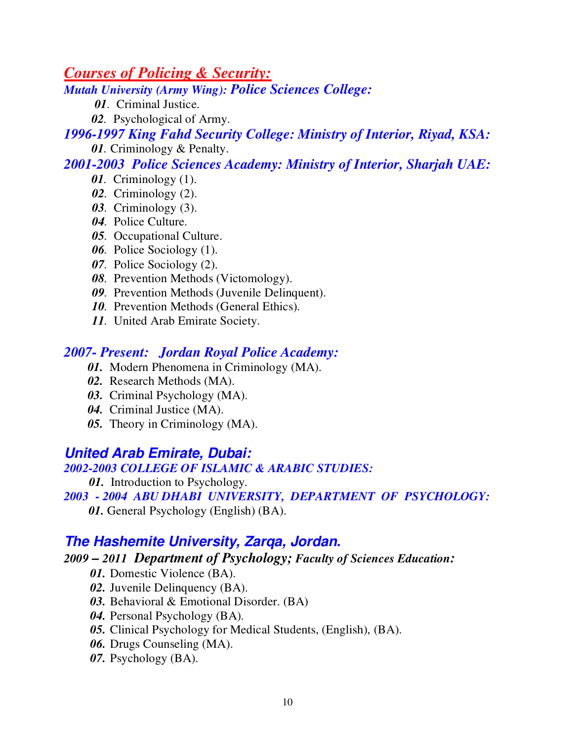*Courses of Policing & Security:*

*Mutah University (Army Wing): Police Sciences College:*

*01.* Criminal Justice.

 *02.* Psychological of Army.

*1996-1997 King Fahd Security College: Ministry of Interior, Riyad, KSA: 01*. Criminology & Penalty.

*2001-2003 Police Sciences Academy: Ministry of Interior, Sharjah UAE:* 

- *01.* Criminology (1).
- *02.* Criminology (2).
- *03.* Criminology (3).
- *04.* Police Culture.
- *05.* Occupational Culture.
- *06.* Police Sociology (1).
- *07.* Police Sociology (2).
- *08.* Prevention Methods (Victomology).
- *09.* Prevention Methods (Juvenile Delinquent).
- *10.* Prevention Methods (General Ethics).
- *11.* United Arab Emirate Society.

## *2007- Present: Jordan Royal Police Academy:*

- *01.* Modern Phenomena in Criminology (MA).
- *02.* Research Methods (MA).
- *03.* Criminal Psychology (MA).
- *04.* Criminal Justice (MA).
- *05.* Theory in Criminology (MA).

## **United Arab Emirate, Dubai:**

### *2002-2003 COLLEGE OF ISLAMIC & ARABIC STUDIES:*

*01.* Introduction to Psychology.

### *2003 - 2004 ABU DHABI UNIVERSITY, DEPARTMENT OF PSYCHOLOGY:*

*01.* General Psychology (English) (BA).

## **The Hashemite University, Zarqa, Jordan.**

### *2009 – 2011**Department of Psychology; Faculty of Sciences Education:*

- *01.* Domestic Violence (BA).
- *02.* Juvenile Delinquency (BA).
- *03.* Behavioral & Emotional Disorder. (BA)
- *04.* Personal Psychology (BA).
- *05.* Clinical Psychology for Medical Students, (English), (BA).
- *06.* Drugs Counseling (MA).
- *07.* Psychology (BA).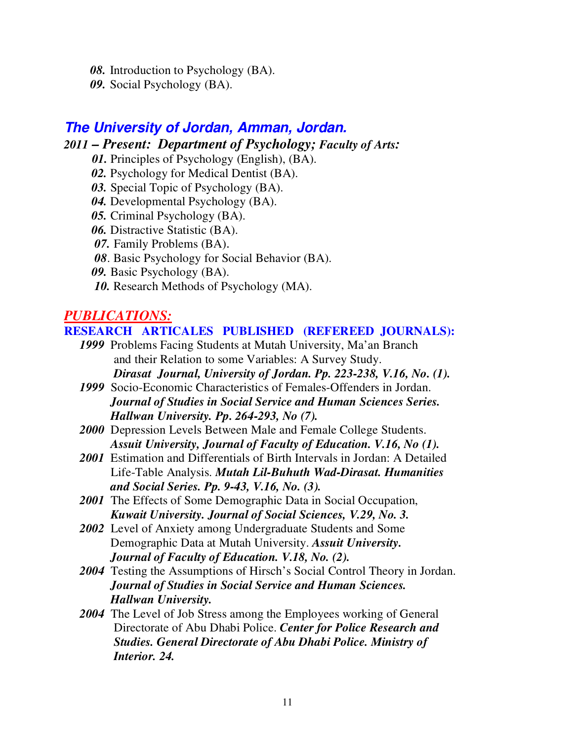- *08.* Introduction to Psychology (BA).
- *09.* Social Psychology (BA).

### **The University of Jordan, Amman, Jordan.** *2011 – Present:**Department of Psychology; Faculty of Arts:*

- *01.* Principles of Psychology (English), (BA).
- *02.* Psychology for Medical Dentist (BA).
- *03.* Special Topic of Psychology (BA).
- *04.* Developmental Psychology (BA).
- *05.* Criminal Psychology (BA).
- *06.* Distractive Statistic (BA).
- *07.* Family Problems (BA).
- *08*. Basic Psychology for Social Behavior (BA).
- *09.* Basic Psychology (BA).
- 10. Research Methods of Psychology (MA).

## *PUBLICATIONS:*

#### **RESEARCH ARTICALES PUBLISHED (REFEREED JOURNALS):**

- *1999* Problems Facing Students at Mutah University, Ma'an Branch and their Relation to some Variables: A Survey Study. *Dirasat Journal, University of Jordan. Pp. 223-238, V.16, No. (1).*
- *1999* Socio-Economic Characteristics of Females-Offenders in Jordan.  *Journal of Studies in Social Service and Human Sciences Series. Hallwan University. Pp. 264-293, No (7).*
- *2000* Depression Levels Between Male and Female College Students.  *Assuit University, Journal of Faculty of Education. V.16, No (1).*
- *2001* Estimation and Differentials of Birth Intervals in Jordan: A Detailed Life-Table Analysis. *Mutah Lil-Buhuth Wad-Dirasat. Humanities and Social Series. Pp. 9-43, V.16, No. (3).*
- *2001* The Effects of Some Demographic Data in Social Occupation, *Kuwait University. Journal of Social Sciences, V.29, No. 3.*
- *2002* Level of Anxiety among Undergraduate Students and Some Demographic Data at Mutah University. *Assuit University. Journal of Faculty of Education. V.18, No. (2).*
- *2004* Testing the Assumptions of Hirsch's Social Control Theory in Jordan.  *Journal of Studies in Social Service and Human Sciences. Hallwan University.*
- *2004* The Level of Job Stress among the Employees working of General Directorate of Abu Dhabi Police. *Center for Police Research and Studies. General Directorate of Abu Dhabi Police. Ministry of Interior. 24.*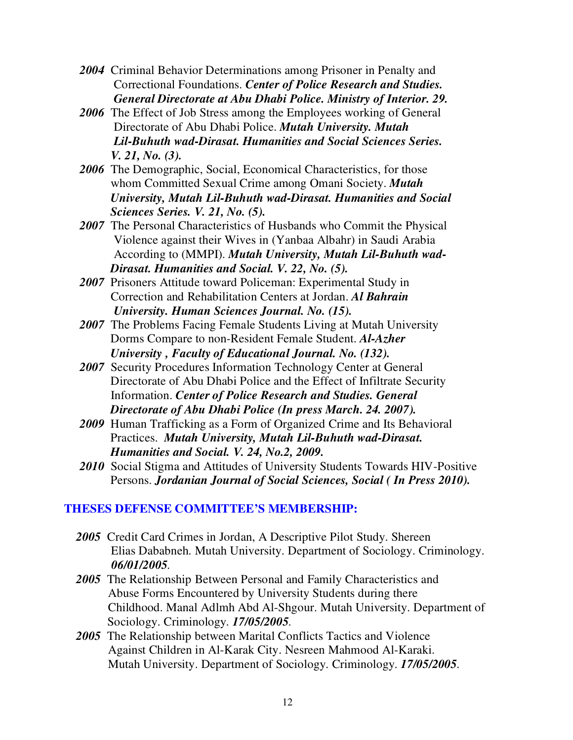- *2004* Criminal Behavior Determinations among Prisoner in Penalty and Correctional Foundations. *Center of Police Research and Studies. General Directorate at Abu Dhabi Police. Ministry of Interior. 29.*
- *2006* The Effect of Job Stress among the Employees working of General Directorate of Abu Dhabi Police. *Mutah University. Mutah Lil-Buhuth wad-Dirasat. Humanities and Social Sciences Series. V. 21, No. (3).*
- *2006* The Demographic, Social, Economical Characteristics, for those whom Committed Sexual Crime among Omani Society. *Mutah University, Mutah Lil-Buhuth wad-Dirasat. Humanities and Social Sciences Series. V. 21, No. (5).*
- *2007* The Personal Characteristics of Husbands who Commit the Physical Violence against their Wives in (Yanbaa Albahr) in Saudi Arabia According to (MMPI). *Mutah University, Mutah Lil-Buhuth wad- Dirasat. Humanities and Social. V. 22, No. (5).*
- *2007* Prisoners Attitude toward Policeman: Experimental Study in Correction and Rehabilitation Centers at Jordan. *Al Bahrain University. Human Sciences Journal. No. (15).*
- *2007* The Problems Facing Female Students Living at Mutah University Dorms Compare to non-Resident Female Student. *Al-Azher University , Faculty of Educational Journal. No. (132).*
- *2007* Security Procedures Information Technology Center at General Directorate of Abu Dhabi Police and the Effect of Infiltrate Security Information. *Center of Police Research and Studies. General Directorate of Abu Dhabi Police (In press March. 24. 2007).*
- *2009* Human Trafficking as a Form of Organized Crime and Its Behavioral Practices. *Mutah University, Mutah Lil-Buhuth wad-Dirasat. Humanities and Social. V. 24, No.2, 2009.*
- *2010* Social Stigma and Attitudes of University Students Towards HIV-Positive Persons. *Jordanian Journal of Social Sciences, Social ( In Press 2010).*

#### **THESES DEFENSE COMMITTEE'S MEMBERSHIP:**

- *2005* Credit Card Crimes in Jordan, A Descriptive Pilot Study. Shereen Elias Dababneh. Mutah University. Department of Sociology. Criminology. *06/01/2005.*
- 2005 The Relationship Between Personal and Family Characteristics and Abuse Forms Encountered by University Students during there Childhood. Manal Adlmh Abd Al-Shgour. Mutah University. Department of Sociology. Criminology*. 17/05/2005.*
- *2005* The Relationship between Marital Conflicts Tactics and Violence Against Children in Al-Karak City. Nesreen Mahmood Al-Karaki. Mutah University. Department of Sociology. Criminology*. 17/05/2005.*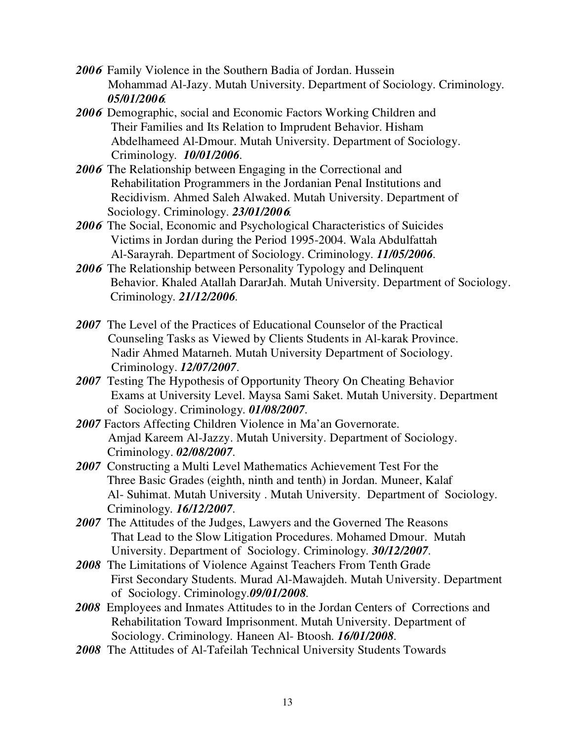- *200***<sup>6</sup>**Family Violence in the Southern Badia of Jordan. Hussein Mohammad Al-Jazy. Mutah University. Department of Sociology. Criminology*. 05/01/200***6***.*
- *200***<sup>6</sup>**Demographic, social and Economic Factors Working Children and Their Families and Its Relation to Imprudent Behavior. Hisham Abdelhameed Al-Dmour. Mutah University. Department of Sociology. Criminology*. 10/01/2006.*
- *200***<sup>6</sup>**The Relationship between Engaging in the Correctional and Rehabilitation Programmers in the Jordanian Penal Institutions and Recidivism. Ahmed Saleh Alwaked. Mutah University. Department of Sociology. Criminology*. 23/01/200***6***.*
- *200***<sup>6</sup>**The Social, Economic and Psychological Characteristics of Suicides Victims in Jordan during the Period 1995-2004. Wala Abdulfattah Al-Sarayrah. Department of Sociology. Criminology*. 11/05/2006.*
- *200***<sup>6</sup>**The Relationship between Personality Typology and Delinquent Behavior. Khaled Atallah DararJah. Mutah University. Department of Sociology. Criminology*. 21/12/2006.*
- *2007* The Level of the Practices of Educational Counselor of the Practical Counseling Tasks as Viewed by Clients Students in Al-karak Province. Nadir Ahmed Matarneh. Mutah University Department of Sociology. Criminology. *12/07/2007.*
- *2007* Testing The Hypothesis of Opportunity Theory On Cheating Behavior Exams at University Level. Maysa Sami Saket. Mutah University. Department of Sociology. Criminology*. 01/08/2007.*
- *2007* Factors Affecting Children Violence in Ma'an Governorate. Amjad Kareem Al-Jazzy. Mutah University. Department of Sociology. Criminology. *02/08/2007.*
- *2007* Constructing a Multi Level Mathematics Achievement Test For the Three Basic Grades (eighth, ninth and tenth) in Jordan. Muneer, Kalaf Al- Suhimat. Mutah University . Mutah University. Department of Sociology. Criminology*. 16/12/2007.*
- *2007* The Attitudes of the Judges, Lawyers and the Governed The Reasons That Lead to the Slow Litigation Procedures. Mohamed Dmour. Mutah University. Department of Sociology. Criminology*. 30/12/2007.*
- *2008* The Limitations of Violence Against Teachers From Tenth Grade First Secondary Students. Murad Al-Mawajdeh. Mutah University. Department of Sociology. Criminology*.09/01/2008.*
- *2008* Employees and Inmates Attitudes to in the Jordan Centers of Corrections and Rehabilitation Toward Imprisonment. Mutah University. Department of Sociology. Criminology*.* Haneen Al- Btoosh*. 16/01/2008.*
- *2008* The Attitudes of Al-Tafeilah Technical University Students Towards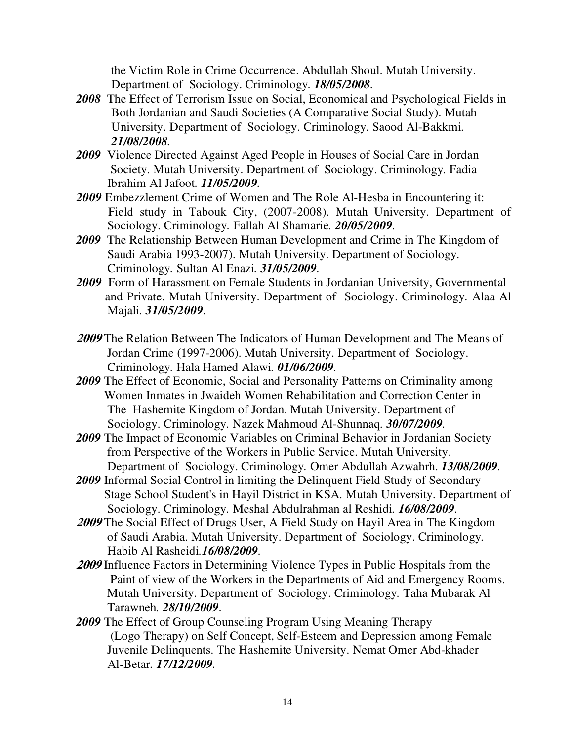the Victim Role in Crime Occurrence. Abdullah Shoul. Mutah University. Department of Sociology. Criminology*. 18/05/2008.* 

- *2008* The Effect of Terrorism Issue on Social, Economical and Psychological Fields in Both Jordanian and Saudi Societies (A Comparative Social Study). Mutah University. Department of Sociology. Criminology*.* Saood Al-Bakkmi*. 21/08/2008.*
- *2009* Violence Directed Against Aged People in Houses of Social Care in Jordan Society. Mutah University. Department of Sociology. Criminology*.* Fadia Ibrahim Al Jafoot*. 11/05/2009.*
- *2009* Embezzlement Crime of Women and The Role Al-Hesba in Encountering it: Field study in Tabouk City, (2007-2008). Mutah University. Department of Sociology. Criminology*.* Fallah Al Shamarie*. 20/05/2009.*
- *2009* The Relationship Between Human Development and Crime in The Kingdom of Saudi Arabia 1993-2007). Mutah University. Department of Sociology. Criminology*.* Sultan Al Enazi*. 31/05/2009.*
- *2009* Form of Harassment on Female Students in Jordanian University, Governmental and Private. Mutah University. Department of Sociology. Criminology*.* Alaa Al Majali*. 31/05/2009.*
- **<sup>2009</sup>** The Relation Between The Indicators of Human Development and The Means of Jordan Crime (1997-2006). Mutah University. Department of Sociology. Criminology*.* Hala Hamed Alawi*. 01/06/2009.*
- *2009* The Effect of Economic, Social and Personality Patterns on Criminality among Women Inmates in Jwaideh Women Rehabilitation and Correction Center in The Hashemite Kingdom of Jordan. Mutah University. Department of Sociology. Criminology*.* Nazek Mahmoud Al-Shunnaq*. 30/07/2009.*
- *2009* The Impact of Economic Variables on Criminal Behavior in Jordanian Society from Perspective of the Workers in Public Service. Mutah University. Department of Sociology. Criminology*.* Omer Abdullah Azwahrh. *13/08/2009.*
- *2009* Informal Social Control in limiting the Delinquent Field Study of Secondary Stage School Student's in Hayil District in KSA. Mutah University. Department of Sociology. Criminology*.* Meshal Abdulrahman al Reshidi*. 16/08/2009.*
- **<sup>2009</sup>** The Social Effect of Drugs User, A Field Study on Hayil Area in The Kingdom of Saudi Arabia. Mutah University. Department of Sociology. Criminology*.*  Habib Al Rasheidi*.16/08/2009.*
- **<sup>2009</sup>** Influence Factors in Determining Violence Types in Public Hospitals from the Paint of view of the Workers in the Departments of Aid and Emergency Rooms. Mutah University. Department of Sociology. Criminology*.* Taha Mubarak Al Tarawneh*. 28/10/2009.*
- *2009* The Effect of Group Counseling Program Using Meaning Therapy (Logo Therapy) on Self Concept, Self-Esteem and Depression among Female Juvenile Delinquents. The Hashemite University. Nemat Omer Abd-khader Al-Betar*. 17/12/2009.*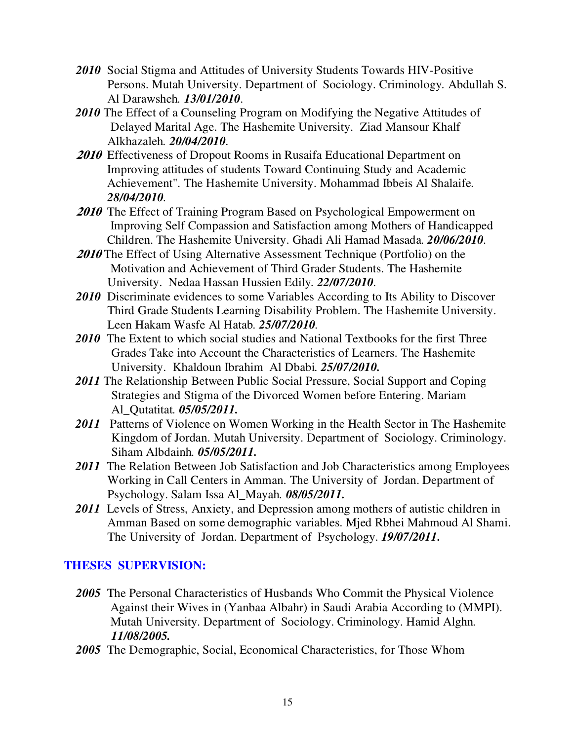- *2010* Social Stigma and Attitudes of University Students Towards HIV-Positive Persons. Mutah University. Department of Sociology. Criminology*.* Abdullah S. Al Darawsheh*. 13/01/2010.*
- 2010 The Effect of a Counseling Program on Modifying the Negative Attitudes of Delayed Marital Age. The Hashemite University. Ziad Mansour Khalf Alkhazaleh*. 20/04/2010.*
- **2010** Effectiveness of Dropout Rooms in Rusaifa Educational Department on Improving attitudes of students Toward Continuing Study and Academic Achievement". The Hashemite University. Mohammad Ibbeis Al Shalaife*. 28/04/2010.*
- **2010** The Effect of Training Program Based on Psychological Empowerment on Improving Self Compassion and Satisfaction among Mothers of Handicapped Children. The Hashemite University. Ghadi Ali Hamad Masada*. 20/06/2010.*
- **<sup>2010</sup>** The Effect of Using Alternative Assessment Technique (Portfolio) on the Motivation and Achievement of Third Grader Students. The Hashemite University. Nedaa Hassan Hussien Edily*. 22/07/2010.*
- *2010* Discriminate evidences to some Variables According to Its Ability to Discover Third Grade Students Learning Disability Problem. The Hashemite University. Leen Hakam Wasfe Al Hatab*. 25/07/2010.*
- 2010 The Extent to which social studies and National Textbooks for the first Three Grades Take into Account the Characteristics of Learners. The Hashemite University. Khaldoun Ibrahim Al Dbabi*. 25/07/2010.*
- *2011* The Relationship Between Public Social Pressure, Social Support and Coping Strategies and Stigma of the Divorced Women before Entering. Mariam Al\_Qutatitat*. 05/05/2011.*
- *2011* Patterns of Violence on Women Working in the Health Sector in The Hashemite Kingdom of Jordan. Mutah University. Department of Sociology. Criminology. Siham Albdainh*. 05/05/2011.*
- *2011* The Relation Between Job Satisfaction and Job Characteristics among Employees Working in Call Centers in Amman. The University of Jordan. Department of Psychology. Salam Issa Al\_Mayah*. 08/05/2011.*
- 2011 Levels of Stress, Anxiety, and Depression among mothers of autistic children in Amman Based on some demographic variables. Mjed Rbhei Mahmoud Al Shami. The University of Jordan. Department of Psychology. *19/07/2011.*

### **THESES SUPERVISION:**

- *2005* The Personal Characteristics of Husbands Who Commit the Physical Violence Against their Wives in (Yanbaa Albahr) in Saudi Arabia According to (MMPI). Mutah University. Department of Sociology. Criminology. Hamid Alghn*. 11/08/2005.*
- *2005* The Demographic, Social, Economical Characteristics, for Those Whom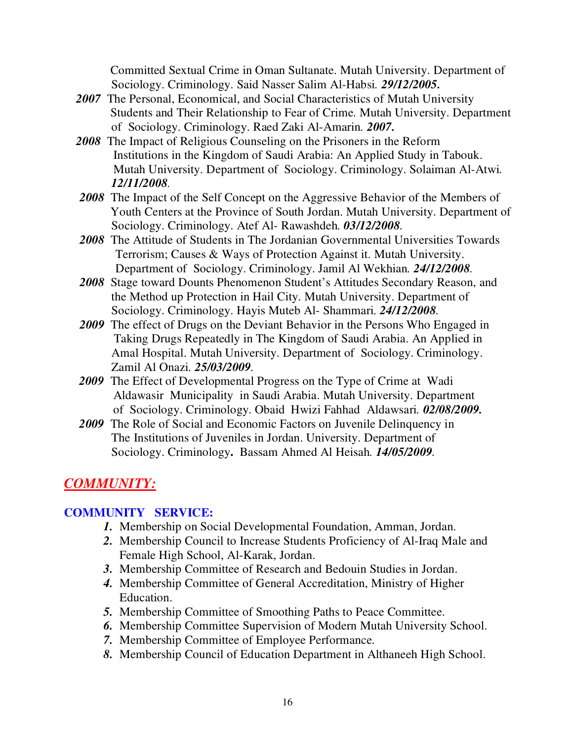Committed Sextual Crime in Oman Sultanate. Mutah University. Department of Sociology. Criminology. Said Nasser Salim Al-Habsi*. 29/12/2005.* 

- *2007* The Personal, Economical, and Social Characteristics of Mutah University Students and Their Relationship to Fear of Crime. Mutah University. Department of Sociology. Criminology. Raed Zaki Al-Amarin*. 2007.*
- *2008* The Impact of Religious Counseling on the Prisoners in the Reform Institutions in the Kingdom of Saudi Arabia: An Applied Study in Tabouk. Mutah University. Department of Sociology. Criminology. Solaiman Al-Atwi*. 12/11/2008.*
- *2008* The Impact of the Self Concept on the Aggressive Behavior of the Members of Youth Centers at the Province of South Jordan. Mutah University. Department of Sociology. Criminology. Atef Al- Rawashdeh*. 03/12/2008.*
- *2008* The Attitude of Students in The Jordanian Governmental Universities Towards Terrorism; Causes & Ways of Protection Against it. Mutah University. Department of Sociology. Criminology. Jamil Al Wekhian*. 24/12/2008.*
- *2008* Stage toward Dounts Phenomenon Student's Attitudes Secondary Reason, and the Method up Protection in Hail City. Mutah University. Department of Sociology. Criminology. Hayis Muteb Al- Shammari*. 24/12/2008.*
- *2009* The effect of Drugs on the Deviant Behavior in the Persons Who Engaged in Taking Drugs Repeatedly in The Kingdom of Saudi Arabia. An Applied in Amal Hospital. Mutah University. Department of Sociology. Criminology. Zamil Al Onazi*. 25/03/2009.*
- *2009* The Effect of Developmental Progress on the Type of Crime at Wadi Aldawasir Municipality in Saudi Arabia. Mutah University. Department of Sociology. Criminology. Obaid Hwizi Fahhad Aldawsari*. 02/08/2009.*
- *2009* The Role of Social and Economic Factors on Juvenile Delinquency in The Institutions of Juveniles in Jordan. University. Department of Sociology. Criminology**.** Bassam Ahmed Al Heisah*. 14/05/2009.*

## *COMMUNITY:*

### **COMMUNITY SERVICE:**

- *1.* Membership on Social Developmental Foundation, Amman, Jordan.
- *2.* Membership Council to Increase Students Proficiency of Al-Iraq Male and Female High School, Al-Karak, Jordan.
- *3.* Membership Committee of Research and Bedouin Studies in Jordan.
- *4.* Membership Committee of General Accreditation, Ministry of Higher Education.
- *5.* Membership Committee of Smoothing Paths to Peace Committee.
- *6.* Membership Committee Supervision of Modern Mutah University School.
- *7.* Membership Committee of Employee Performance.
- *8.* Membership Council of Education Department in Althaneeh High School.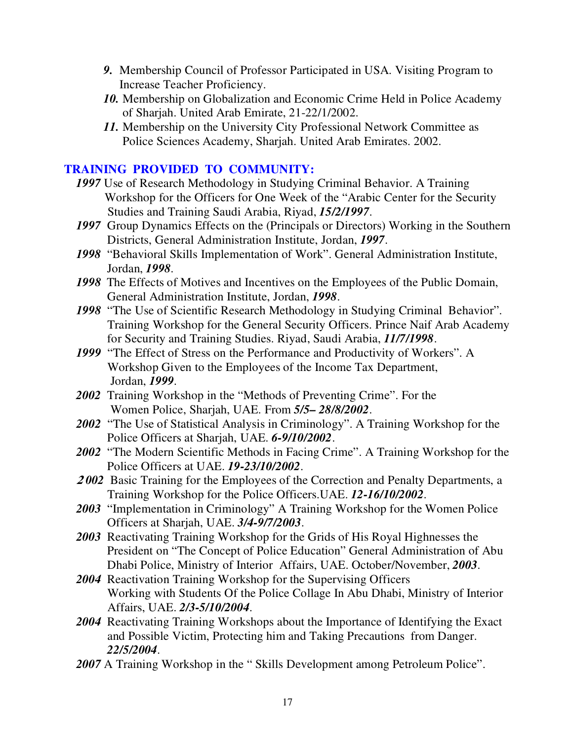- *9.* Membership Council of Professor Participated in USA. Visiting Program to Increase Teacher Proficiency.
- *10.* Membership on Globalization and Economic Crime Held in Police Academy of Sharjah. United Arab Emirate, 21-22/1/2002.
- *11.* Membership on the University City Professional Network Committee as Police Sciences Academy, Sharjah. United Arab Emirates. 2002.

### **TRAINING PROVIDED TO COMMUNITY:**

- *1997* Use of Research Methodology in Studying Criminal Behavior. A Training Workshop for the Officers for One Week of the "Arabic Center for the Security Studies and Training Saudi Arabia, Riyad, *15/2/1997*.
- *1997* Group Dynamics Effects on the (Principals or Directors) Working in the Southern Districts, General Administration Institute, Jordan, *1997*.
- *1998* "Behavioral Skills Implementation of Work". General Administration Institute, Jordan, *1998*.
- *1998* The Effects of Motives and Incentives on the Employees of the Public Domain, General Administration Institute, Jordan, *1998*.
- *1998* "The Use of Scientific Research Methodology in Studying Criminal Behavior". Training Workshop for the General Security Officers. Prince Naif Arab Academy for Security and Training Studies. Riyad, Saudi Arabia, *11/7/1998*.
- *1999* "The Effect of Stress on the Performance and Productivity of Workers". A Workshop Given to the Employees of the Income Tax Department, Jordan, *1999*.
- *2002* Training Workshop in the "Methods of Preventing Crime". For the Women Police, Sharjah, UAE. From *5/5– 28/8/2002*.
- *2002* "The Use of Statistical Analysis in Criminology". A Training Workshop for the Police Officers at Sharjah, UAE. *6-9/10/2002*.
- *2002* "The Modern Scientific Methods in Facing Crime". A Training Workshop for the Police Officers at UAE. *19-23/10/2002*.
- **<sup>2</sup>** *002* Basic Training for the Employees of the Correction and Penalty Departments, a Training Workshop for the Police Officers.UAE. *12-16/10/2002*.
- *2003* "Implementation in Criminology" A Training Workshop for the Women Police Officers at Sharjah, UAE. *3/4-9/7/2003*.
- *2003* Reactivating Training Workshop for the Grids of His Royal Highnesses the President on "The Concept of Police Education" General Administration of Abu Dhabi Police, Ministry of Interior Affairs, UAE. October/November, *2003*.
- *2004* Reactivation Training Workshop for the Supervising Officers Working with Students Of the Police Collage In Abu Dhabi, Ministry of Interior Affairs, UAE. *2/3-5/10/2004*.
- *2004* Reactivating Training Workshops about the Importance of Identifying the Exact and Possible Victim, Protecting him and Taking Precautions from Danger. *22/5/2004*.
- *2007* A Training Workshop in the " Skills Development among Petroleum Police".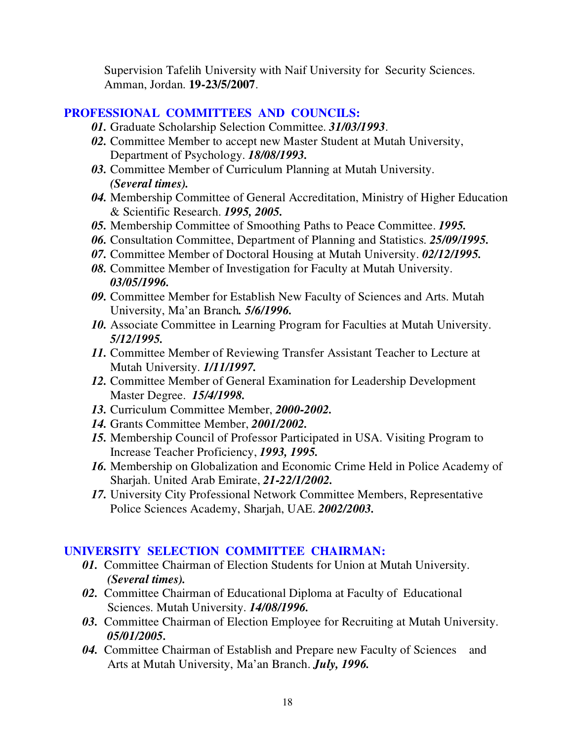Supervision Tafelih University with Naif University for Security Sciences. Amman, Jordan. **19-23/5/2007**.

#### **PROFESSIONAL COMMITTEES AND COUNCILS:**

- *01.* Graduate Scholarship Selection Committee. *31/03/1993*.
- *02.* Committee Member to accept new Master Student at Mutah University, Department of Psychology. *18/08/1993.*
- *03.* Committee Member of Curriculum Planning at Mutah University. *(Several times).*
- *04.* Membership Committee of General Accreditation, Ministry of Higher Education & Scientific Research. *1995, 2005.*
- *05.* Membership Committee of Smoothing Paths to Peace Committee. *1995.*
- *06.* Consultation Committee, Department of Planning and Statistics. *25/09/1995.*
- *07.* Committee Member of Doctoral Housing at Mutah University. *02/12/1995.*
- *08.* Committee Member of Investigation for Faculty at Mutah University. *03/05/1996.*
- *09.* Committee Member for Establish New Faculty of Sciences and Arts. Mutah University, Ma'an Branch*. 5/6/1996.*
- *10.* Associate Committee in Learning Program for Faculties at Mutah University. *5/12/1995.*
- *11.* Committee Member of Reviewing Transfer Assistant Teacher to Lecture at Mutah University. *1/11/1997.*
- *12.* Committee Member of General Examination for Leadership Development Master Degree. *15/4/1998.*
- *13.* Curriculum Committee Member, *2000-2002.*
- *14.* Grants Committee Member, *2001/2002.*
- *15.* Membership Council of Professor Participated in USA. Visiting Program to Increase Teacher Proficiency, *1993, 1995.*
- *16.* Membership on Globalization and Economic Crime Held in Police Academy of Sharjah. United Arab Emirate, *21-22/1/2002.*
- *17.* University City Professional Network Committee Members, Representative Police Sciences Academy, Sharjah, UAE. *2002/2003.*

### **UNIVERSITY SELECTION COMMITTEE CHAIRMAN:**

- *01.* Committee Chairman of Election Students for Union at Mutah University. *(Several times).*
- *02.* Committee Chairman of Educational Diploma at Faculty of Educational Sciences. Mutah University. *14/08/1996.*
- *03.* Committee Chairman of Election Employee for Recruiting at Mutah University. *05/01/2005.*
- *04.* Committee Chairman of Establish and Prepare new Faculty of Sciences and Arts at Mutah University, Ma'an Branch. *July, 1996.*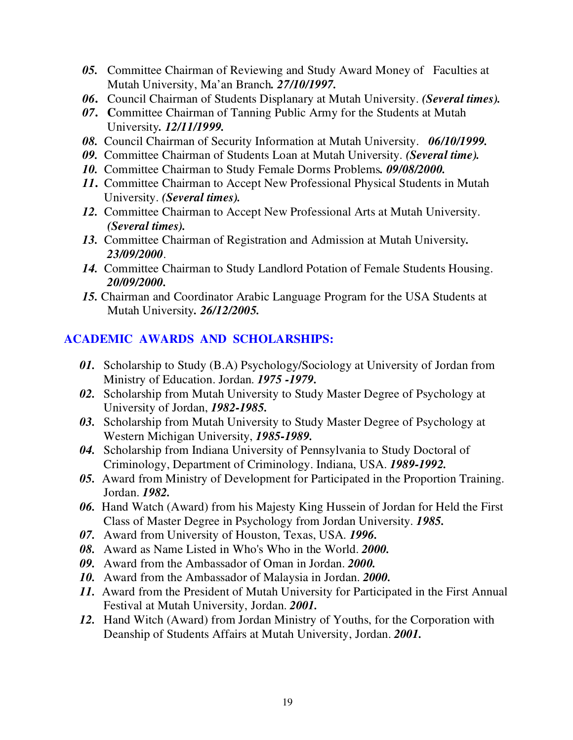- *05.* Committee Chairman of Reviewing and Study Award Money of Faculties at Mutah University, Ma'an Branch*. 27/10/1997.*
- *06***.** Council Chairman of Students Displanary at Mutah University. *(Several times).*
- *07***. C**ommittee Chairman of Tanning Public Army for the Students at Mutah University*. 12/11/1999.*
- *08.* Council Chairman of Security Information at Mutah University. *06/10/1999.*
- *09.* Committee Chairman of Students Loan at Mutah University. *(Several time).*
- *10.* Committee Chairman to Study Female Dorms Problems*. 09/08/2000.*
- *11***.** Committee Chairman to Accept New Professional Physical Students in Mutah University. *(Several times).*
- *12.* Committee Chairman to Accept New Professional Arts at Mutah University.  *(Several times).*
- *13.* Committee Chairman of Registration and Admission at Mutah University*. 23/09/2000*.
- *14.* Committee Chairman to Study Landlord Potation of Female Students Housing.*20/09/2000.*
- *15.* Chairman and Coordinator Arabic Language Program for the USA Students at Mutah University*. 26/12/2005.*

## **ACADEMIC AWARDS AND SCHOLARSHIPS:**

- *01.* Scholarship to Study (B.A) Psychology/Sociology at University of Jordan from Ministry of Education. Jordan. *1975 -1979.*
- *02.* Scholarship from Mutah University to Study Master Degree of Psychology at University of Jordan, *1982-1985.*
- *03.* Scholarship from Mutah University to Study Master Degree of Psychology at Western Michigan University, *1985-1989.*
- *04.* Scholarship from Indiana University of Pennsylvania to Study Doctoral of Criminology, Department of Criminology. Indiana, USA. *1989-1992.*
- *05.* Award from Ministry of Development for Participated in the Proportion Training. Jordan. *1982.*
- *06.* Hand Watch (Award) from his Majesty King Hussein of Jordan for Held the First Class of Master Degree in Psychology from Jordan University. *1985.*
- *07.* Award from University of Houston, Texas, USA. *1996.*
- *08.* Award as Name Listed in Who's Who in the World. *2000.*
- *09.* Award from the Ambassador of Oman in Jordan. *2000.*
- *10.* Award from the Ambassador of Malaysia in Jordan. *2000.*
- *11.* Award from the President of Mutah University for Participated in the First Annual Festival at Mutah University, Jordan. *2001.*
- *12.* Hand Witch (Award) from Jordan Ministry of Youths, for the Corporation with Deanship of Students Affairs at Mutah University, Jordan. *2001.*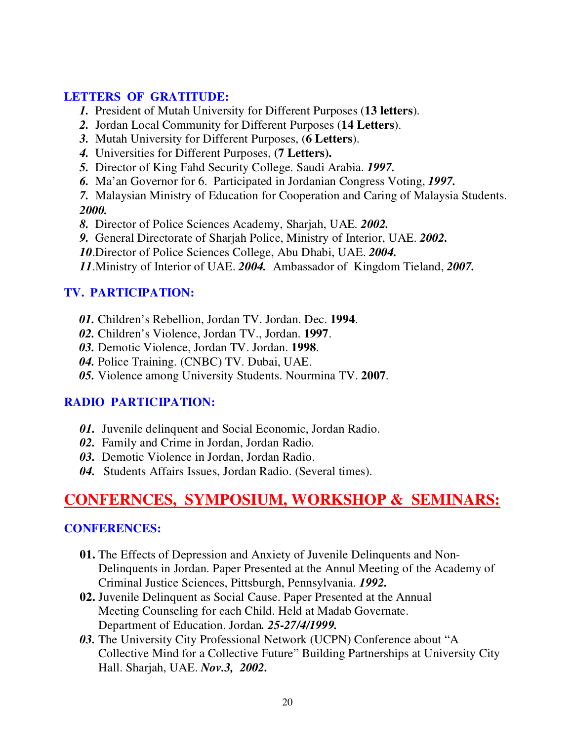### **LETTERS OF GRATITUDE:**

- *1.* President of Mutah University for Different Purposes (**13 letters**).
- *2.* Jordan Local Community for Different Purposes (**14 Letters**).
- *3.* Mutah University for Different Purposes, (**6 Letters**).
- *4.* Universities for Different Purposes, **(7 Letters).**
- *5.* Director of King Fahd Security College. Saudi Arabia. *1997.*
- *6.* Ma'an Governor for 6. Participated in Jordanian Congress Voting, *1997.*
- *7.* Malaysian Ministry of Education for Cooperation and Caring of Malaysia Students. *2000.*
- *8.* Director of Police Sciences Academy, Sharjah, UAE*. 2002.*
- *9.* General Directorate of Sharjah Police, Ministry of Interior, UAE. *2002.*
- *10*.Director of Police Sciences College, Abu Dhabi, UAE. *2004.*
- *11*.Ministry of Interior of UAE. *2004.* Ambassador of Kingdom Tieland, *2007.*

### **TV. PARTICIPATION:**

- *01.* Children's Rebellion, Jordan TV. Jordan. Dec. **1994**.
- *02.* Children's Violence, Jordan TV., Jordan. **1997**.
- *03.* Demotic Violence, Jordan TV. Jordan. **1998**.
- *04.* Police Training. (CNBC) TV. Dubai, UAE.
- *05.* Violence among University Students. Nourmina TV. **2007**.

## **RADIO PARTICIPATION:**

- *01.* Juvenile delinquent and Social Economic, Jordan Radio.
- *02.* Family and Crime in Jordan, Jordan Radio.
- *03.* Demotic Violence in Jordan, Jordan Radio.
- *04.* Students Affairs Issues, Jordan Radio. (Several times).

# **CONFERNCES, SYMPOSIUM, WORKSHOP & SEMINARS:**

## **CONFERENCES:**

- **01.** The Effects of Depression and Anxiety of Juvenile Delinquents and Non-Delinquents in Jordan. Paper Presented at the Annul Meeting of the Academy of Criminal Justice Sciences, Pittsburgh, Pennsylvania. *1992.*
- **02.** Juvenile Delinquent as Social Cause. Paper Presented at the Annual Meeting Counseling for each Child. Held at Madab Governate. Department of Education. Jordan*. 25-27/4/1999.*
- *03.* The University City Professional Network (UCPN) Conference about "A Collective Mind for a Collective Future" Building Partnerships at University City Hall. Sharjah, UAE. *Nov.3, 2002.*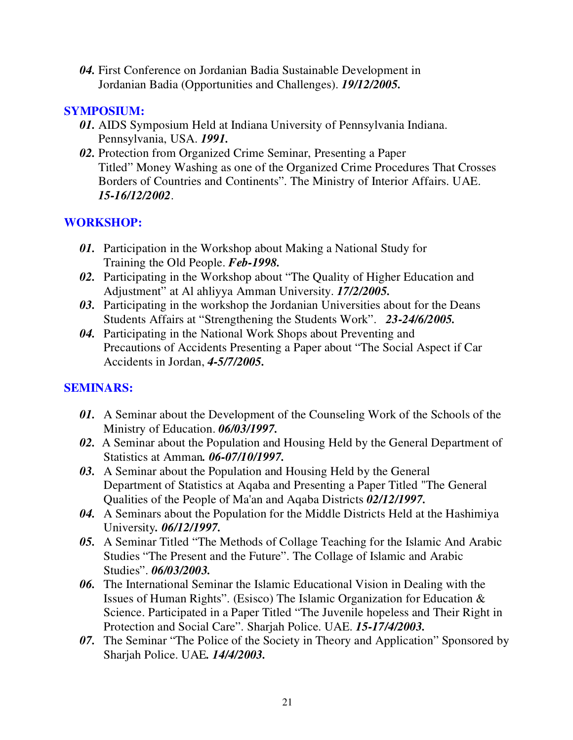*04.* First Conference on Jordanian Badia Sustainable Development in Jordanian Badia (Opportunities and Challenges). *19/12/2005.* 

### **SYMPOSIUM:**

- *01.* AIDS Symposium Held at Indiana University of Pennsylvania Indiana. Pennsylvania, USA. *1991.*
- *02.* Protection from Organized Crime Seminar, Presenting a Paper Titled" Money Washing as one of the Organized Crime Procedures That Crosses Borders of Countries and Continents". The Ministry of Interior Affairs. UAE. *15-16/12/2002*.

## **WORKSHOP:**

- *01.* Participation in the Workshop about Making a National Study for Training the Old People. *Feb-1998.*
- *02.* Participating in the Workshop about "The Quality of Higher Education and Adjustment" at Al ahliyya Amman University. *17/2/2005.*
- *03.* Participating in the workshop the Jordanian Universities about for the Deans Students Affairs at "Strengthening the Students Work". *23-24/6/2005.*
- *04.* Participating in the National Work Shops about Preventing and Precautions of Accidents Presenting a Paper about "The Social Aspect if Car Accidents in Jordan, *4-5/7/2005.*

### **SEMINARS:**

- *01.* A Seminar about the Development of the Counseling Work of the Schools of the Ministry of Education. *06/03/1997.*
- *02.* A Seminar about the Population and Housing Held by the General Department of Statistics at Amman*. 06-07/10/1997.*
- *03.* A Seminar about the Population and Housing Held by the General Department of Statistics at Aqaba and Presenting a Paper Titled "The General Qualities of the People of Ma'an and Aqaba Districts *02/12/1997.*
- *04.* A Seminars about the Population for the Middle Districts Held at the Hashimiya University*. 06/12/1997.*
- *05.* A Seminar Titled "The Methods of Collage Teaching for the Islamic And Arabic Studies "The Present and the Future". The Collage of Islamic and Arabic Studies". *06/03/2003.*
- *06.* The International Seminar the Islamic Educational Vision in Dealing with the Issues of Human Rights". (Esisco) The Islamic Organization for Education & Science. Participated in a Paper Titled "The Juvenile hopeless and Their Right in Protection and Social Care". Sharjah Police. UAE. *15-17/4/2003.*
- *07.* The Seminar "The Police of the Society in Theory and Application" Sponsored by Sharjah Police. UAE*. 14/4/2003.*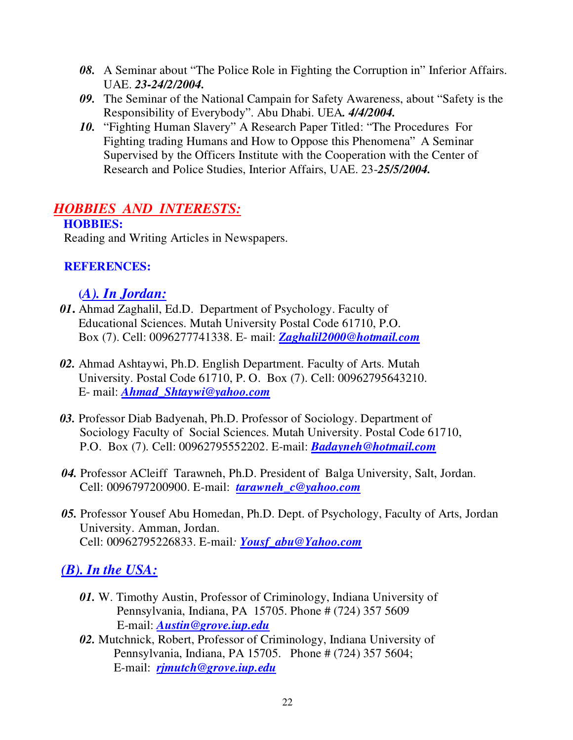- *08.* A Seminar about "The Police Role in Fighting the Corruption in" Inferior Affairs. UAE. *23-24/2/2004.*
- *09.* The Seminar of the National Campain for Safety Awareness, about "Safety is the Responsibility of Everybody". Abu Dhabi. UEA*. 4/4/2004.*
- *10.* "Fighting Human Slavery" A Research Paper Titled: "The Procedures For Fighting trading Humans and How to Oppose this Phenomena" A Seminar Supervised by the Officers Institute with the Cooperation with the Center of Research and Police Studies, Interior Affairs, UAE. 23-*25/5/2004.*

## *HOBBIES AND INTERESTS:*

## **HOBBIES:**

Reading and Writing Articles in Newspapers.

### **REFERENCES:**

## **(***A). In Jordan:*

- *01***.** Ahmad Zaghalil, Ed.D. Department of Psychology. Faculty of Educational Sciences. Mutah University Postal Code 61710, P.O. Box (7). Cell: 0096277741338. E- mail: *Zaghalil2000@hotmail.com*
- *02.* Ahmad Ashtaywi, Ph.D. English Department. Faculty of Arts. Mutah University. Postal Code 61710, P. O. Box (7). Cell: 00962795643210. E- mail: *Ahmad\_Shtaywi@yahoo.com*
- *03.* Professor Diab Badyenah, Ph.D. Professor of Sociology. Department of Sociology Faculty of Social Sciences. Mutah University. Postal Code 61710, P.O. Box (7). Cell: 00962795552202. E-mail: *Badayneh@hotmail.com*
- 04. Professor ACleiff Tarawneh, Ph.D. President of Balga University, Salt, Jordan. Cell: 0096797200900. E-mail: *tarawneh\_c@yahoo.com*
- *05.* Professor Yousef Abu Homedan, Ph.D. Dept. of Psychology, Faculty of Arts, Jordan University. Amman, Jordan. Cell: 00962795226833. E-mail*: Yousf\_abu@Yahoo.com*

## *(B). In the USA:*

- *01.* W. Timothy Austin, Professor of Criminology, Indiana University of Pennsylvania, Indiana, PA 15705. Phone # (724) 357 5609 E-mail: *Austin@grove.iup.edu*
- *02.* Mutchnick, Robert, Professor of Criminology, Indiana University of Pennsylvania, Indiana, PA 15705. Phone # (724) 357 5604; E-mail: *rjmutch@grove.iup.edu*